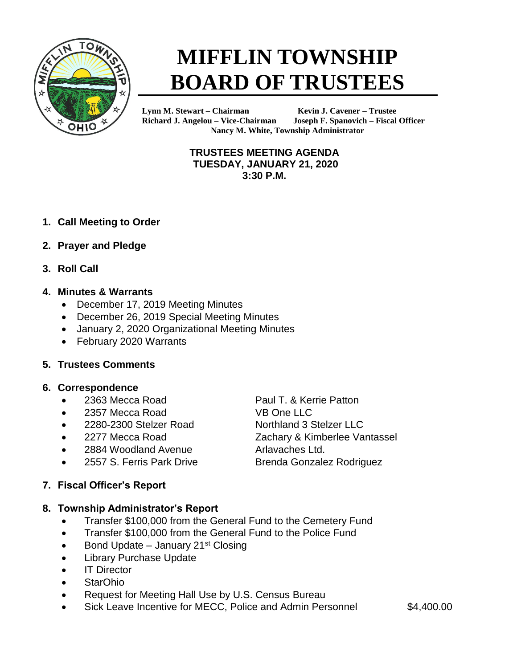

# **MIFFLIN TOWNSHIP BOARD OF TRUSTEES**

**Lynn M. Stewart – Chairman Kevin J. Cavener – Trustee Richard J. Angelou – Vice-Chairman Joseph F. Spanovich – Fiscal Officer Nancy M. White, Township Administrator**

#### **TRUSTEES MEETING AGENDA TUESDAY, JANUARY 21, 2020 3:30 P.M.**

- **1. Call Meeting to Order**
- **2. Prayer and Pledge**
- **3. Roll Call**

#### **4. Minutes & Warrants**

- December 17, 2019 Meeting Minutes
- December 26, 2019 Special Meeting Minutes
- January 2, 2020 Organizational Meeting Minutes
- February 2020 Warrants

#### **5. Trustees Comments**

#### **6. Correspondence**

- 2363 Mecca Road Paul T. & Kerrie Patton
- 2357 Mecca Road VB One LLC
- 2280-2300 Stelzer Road Northland 3 Stelzer LLC
- 
- 2884 Woodland Avenue **Arlavaches Ltd.**
- 2557 S. Ferris Park Drive Brenda Gonzalez Rodriguez

#### **7. Fiscal Officer's Report**

#### **8. Township Administrator's Report**

- Transfer \$100,000 from the General Fund to the Cemetery Fund
- Transfer \$100,000 from the General Fund to the Police Fund
- Bond Update January 21<sup>st</sup> Closing
- Library Purchase Update
- IT Director
- StarOhio
- Request for Meeting Hall Use by U.S. Census Bureau
- Sick Leave Incentive for MECC, Police and Admin Personnel \$4,400.00

• 2277 Mecca Road Zachary & Kimberlee Vantassel